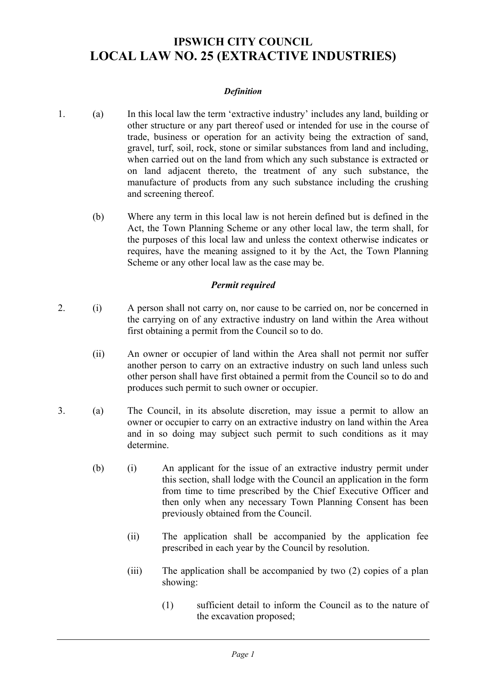# **IPSWICH CITY COUNCIL LOCAL LAW NO. 25 (EXTRACTIVE INDUSTRIES)**

### *Definition*

- 1. (a) In this local law the term 'extractive industry' includes any land, building or other structure or any part thereof used or intended for use in the course of trade, business or operation for an activity being the extraction of sand, gravel, turf, soil, rock, stone or similar substances from land and including, when carried out on the land from which any such substance is extracted or on land adjacent thereto, the treatment of any such substance, the manufacture of products from any such substance including the crushing and screening thereof.
	- (b) Where any term in this local law is not herein defined but is defined in the Act, the Town Planning Scheme or any other local law, the term shall, for the purposes of this local law and unless the context otherwise indicates or requires, have the meaning assigned to it by the Act, the Town Planning Scheme or any other local law as the case may be.

## *Permit required*

- 2. (i) A person shall not carry on, nor cause to be carried on, nor be concerned in the carrying on of any extractive industry on land within the Area without first obtaining a permit from the Council so to do.
	- (ii) An owner or occupier of land within the Area shall not permit nor suffer another person to carry on an extractive industry on such land unless such other person shall have first obtained a permit from the Council so to do and produces such permit to such owner or occupier.
- 3. (a) The Council, in its absolute discretion, may issue a permit to allow an owner or occupier to carry on an extractive industry on land within the Area and in so doing may subject such permit to such conditions as it may determine.
	- (b) (i) An applicant for the issue of an extractive industry permit under this section, shall lodge with the Council an application in the form from time to time prescribed by the Chief Executive Officer and then only when any necessary Town Planning Consent has been previously obtained from the Council.
		- (ii) The application shall be accompanied by the application fee prescribed in each year by the Council by resolution.
		- (iii) The application shall be accompanied by two (2) copies of a plan showing:
			- (1) sufficient detail to inform the Council as to the nature of the excavation proposed;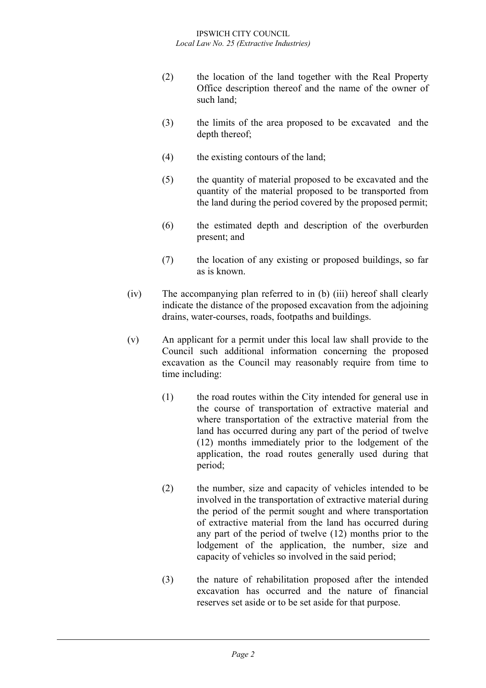- (2) the location of the land together with the Real Property Office description thereof and the name of the owner of such land;
- (3) the limits of the area proposed to be excavated and the depth thereof;
- (4) the existing contours of the land;
- (5) the quantity of material proposed to be excavated and the quantity of the material proposed to be transported from the land during the period covered by the proposed permit;
- (6) the estimated depth and description of the overburden present; and
- (7) the location of any existing or proposed buildings, so far as is known.
- (iv) The accompanying plan referred to in (b) (iii) hereof shall clearly indicate the distance of the proposed excavation from the adjoining drains, water-courses, roads, footpaths and buildings.
- (v) An applicant for a permit under this local law shall provide to the Council such additional information concerning the proposed excavation as the Council may reasonably require from time to time including:
	- (1) the road routes within the City intended for general use in the course of transportation of extractive material and where transportation of the extractive material from the land has occurred during any part of the period of twelve (12) months immediately prior to the lodgement of the application, the road routes generally used during that period;
	- (2) the number, size and capacity of vehicles intended to be involved in the transportation of extractive material during the period of the permit sought and where transportation of extractive material from the land has occurred during any part of the period of twelve (12) months prior to the lodgement of the application, the number, size and capacity of vehicles so involved in the said period;
	- (3) the nature of rehabilitation proposed after the intended excavation has occurred and the nature of financial reserves set aside or to be set aside for that purpose.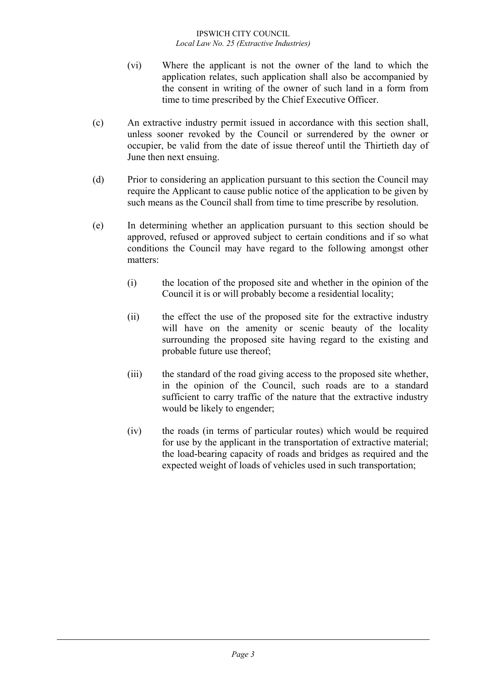- (vi) Where the applicant is not the owner of the land to which the application relates, such application shall also be accompanied by the consent in writing of the owner of such land in a form from time to time prescribed by the Chief Executive Officer.
- (c) An extractive industry permit issued in accordance with this section shall, unless sooner revoked by the Council or surrendered by the owner or occupier, be valid from the date of issue thereof until the Thirtieth day of June then next ensuing.
- (d) Prior to considering an application pursuant to this section the Council may require the Applicant to cause public notice of the application to be given by such means as the Council shall from time to time prescribe by resolution.
- (e) In determining whether an application pursuant to this section should be approved, refused or approved subject to certain conditions and if so what conditions the Council may have regard to the following amongst other matters:
	- (i) the location of the proposed site and whether in the opinion of the Council it is or will probably become a residential locality;
	- (ii) the effect the use of the proposed site for the extractive industry will have on the amenity or scenic beauty of the locality surrounding the proposed site having regard to the existing and probable future use thereof;
	- (iii) the standard of the road giving access to the proposed site whether, in the opinion of the Council, such roads are to a standard sufficient to carry traffic of the nature that the extractive industry would be likely to engender;
	- (iv) the roads (in terms of particular routes) which would be required for use by the applicant in the transportation of extractive material; the load-bearing capacity of roads and bridges as required and the expected weight of loads of vehicles used in such transportation;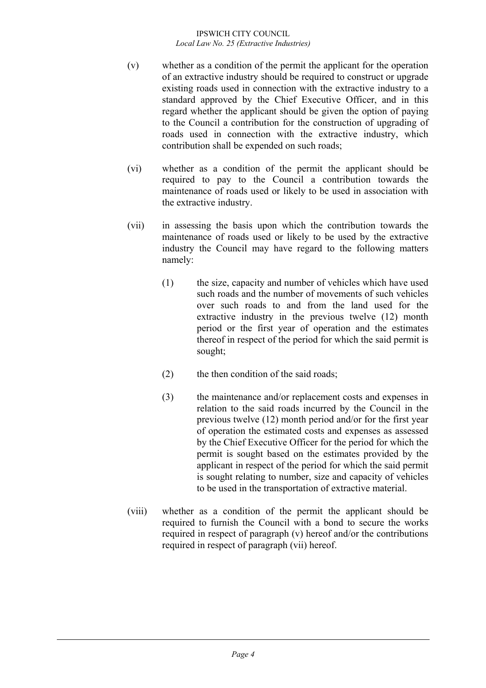- (v) whether as a condition of the permit the applicant for the operation of an extractive industry should be required to construct or upgrade existing roads used in connection with the extractive industry to a standard approved by the Chief Executive Officer, and in this regard whether the applicant should be given the option of paying to the Council a contribution for the construction of upgrading of roads used in connection with the extractive industry, which contribution shall be expended on such roads;
- (vi) whether as a condition of the permit the applicant should be required to pay to the Council a contribution towards the maintenance of roads used or likely to be used in association with the extractive industry.
- (vii) in assessing the basis upon which the contribution towards the maintenance of roads used or likely to be used by the extractive industry the Council may have regard to the following matters namely:
	- (1) the size, capacity and number of vehicles which have used such roads and the number of movements of such vehicles over such roads to and from the land used for the extractive industry in the previous twelve (12) month period or the first year of operation and the estimates thereof in respect of the period for which the said permit is sought;
	- (2) the then condition of the said roads;
	- (3) the maintenance and/or replacement costs and expenses in relation to the said roads incurred by the Council in the previous twelve (12) month period and/or for the first year of operation the estimated costs and expenses as assessed by the Chief Executive Officer for the period for which the permit is sought based on the estimates provided by the applicant in respect of the period for which the said permit is sought relating to number, size and capacity of vehicles to be used in the transportation of extractive material.
- (viii) whether as a condition of the permit the applicant should be required to furnish the Council with a bond to secure the works required in respect of paragraph (y) hereof and/or the contributions required in respect of paragraph (vii) hereof.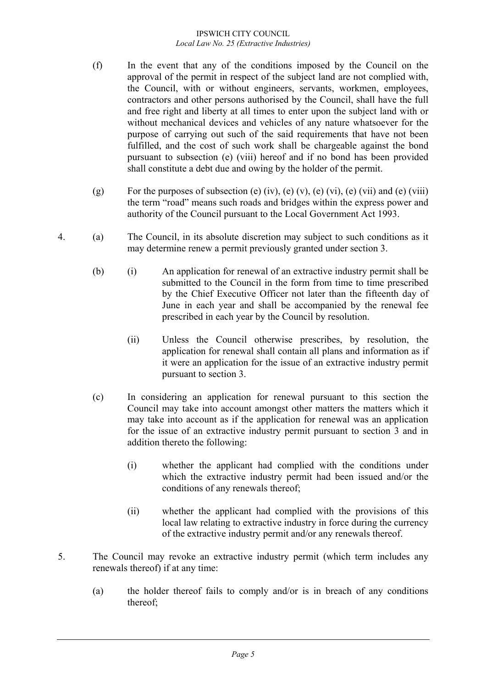- (f) In the event that any of the conditions imposed by the Council on the approval of the permit in respect of the subject land are not complied with, the Council, with or without engineers, servants, workmen, employees, contractors and other persons authorised by the Council, shall have the full and free right and liberty at all times to enter upon the subject land with or without mechanical devices and vehicles of any nature whatsoever for the purpose of carrying out such of the said requirements that have not been fulfilled, and the cost of such work shall be chargeable against the bond pursuant to subsection (e) (viii) hereof and if no bond has been provided shall constitute a debt due and owing by the holder of the permit.
- (g) For the purposes of subsection (e) (iv), (e) (v), (e) (vi), (e) (vii) and (e) (viii) the term "road" means such roads and bridges within the express power and authority of the Council pursuant to the Local Government Act 1993.
- 4. (a) The Council, in its absolute discretion may subject to such conditions as it may determine renew a permit previously granted under section 3.
	- (b) (i) An application for renewal of an extractive industry permit shall be submitted to the Council in the form from time to time prescribed by the Chief Executive Officer not later than the fifteenth day of June in each year and shall be accompanied by the renewal fee prescribed in each year by the Council by resolution.
		- (ii) Unless the Council otherwise prescribes, by resolution, the application for renewal shall contain all plans and information as if it were an application for the issue of an extractive industry permit pursuant to section 3.
	- (c) In considering an application for renewal pursuant to this section the Council may take into account amongst other matters the matters which it may take into account as if the application for renewal was an application for the issue of an extractive industry permit pursuant to section 3 and in addition thereto the following:
		- (i) whether the applicant had complied with the conditions under which the extractive industry permit had been issued and/or the conditions of any renewals thereof;
		- (ii) whether the applicant had complied with the provisions of this local law relating to extractive industry in force during the currency of the extractive industry permit and/or any renewals thereof.
- 5. The Council may revoke an extractive industry permit (which term includes any renewals thereof) if at any time:
	- (a) the holder thereof fails to comply and/or is in breach of any conditions thereof;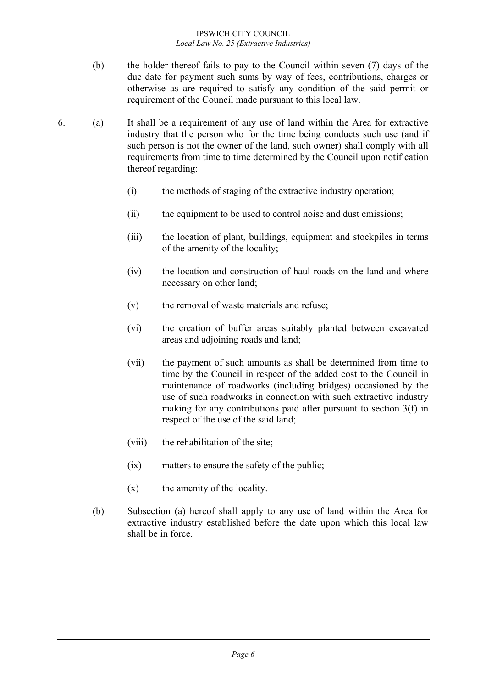- (b) the holder thereof fails to pay to the Council within seven (7) days of the due date for payment such sums by way of fees, contributions, charges or otherwise as are required to satisfy any condition of the said permit or requirement of the Council made pursuant to this local law.
- 6. (a) It shall be a requirement of any use of land within the Area for extractive industry that the person who for the time being conducts such use (and if such person is not the owner of the land, such owner) shall comply with all requirements from time to time determined by the Council upon notification thereof regarding:
	- (i) the methods of staging of the extractive industry operation;
	- (ii) the equipment to be used to control noise and dust emissions;
	- (iii) the location of plant, buildings, equipment and stockpiles in terms of the amenity of the locality;
	- (iv) the location and construction of haul roads on the land and where necessary on other land;
	- (v) the removal of waste materials and refuse;
	- (vi) the creation of buffer areas suitably planted between excavated areas and adjoining roads and land;
	- (vii) the payment of such amounts as shall be determined from time to time by the Council in respect of the added cost to the Council in maintenance of roadworks (including bridges) occasioned by the use of such roadworks in connection with such extractive industry making for any contributions paid after pursuant to section 3(f) in respect of the use of the said land;
	- (viii) the rehabilitation of the site;
	- (ix) matters to ensure the safety of the public;
	- (x) the amenity of the locality.
	- (b) Subsection (a) hereof shall apply to any use of land within the Area for extractive industry established before the date upon which this local law shall be in force.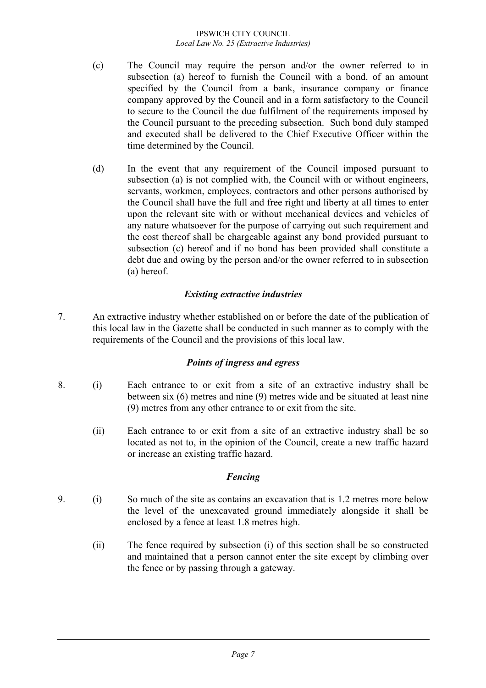- (c) The Council may require the person and/or the owner referred to in subsection (a) hereof to furnish the Council with a bond, of an amount specified by the Council from a bank, insurance company or finance company approved by the Council and in a form satisfactory to the Council to secure to the Council the due fulfilment of the requirements imposed by the Council pursuant to the preceding subsection. Such bond duly stamped and executed shall be delivered to the Chief Executive Officer within the time determined by the Council.
- (d) In the event that any requirement of the Council imposed pursuant to subsection (a) is not complied with, the Council with or without engineers, servants, workmen, employees, contractors and other persons authorised by the Council shall have the full and free right and liberty at all times to enter upon the relevant site with or without mechanical devices and vehicles of any nature whatsoever for the purpose of carrying out such requirement and the cost thereof shall be chargeable against any bond provided pursuant to subsection (c) hereof and if no bond has been provided shall constitute a debt due and owing by the person and/or the owner referred to in subsection (a) hereof.

# *Existing extractive industries*

7. An extractive industry whether established on or before the date of the publication of this local law in the Gazette shall be conducted in such manner as to comply with the requirements of the Council and the provisions of this local law.

## *Points of ingress and egress*

- 8. (i) Each entrance to or exit from a site of an extractive industry shall be between six (6) metres and nine (9) metres wide and be situated at least nine (9) metres from any other entrance to or exit from the site.
	- (ii) Each entrance to or exit from a site of an extractive industry shall be so located as not to, in the opinion of the Council, create a new traffic hazard or increase an existing traffic hazard.

## *Fencing*

- 9. (i) So much of the site as contains an excavation that is 1.2 metres more below the level of the unexcavated ground immediately alongside it shall be enclosed by a fence at least 1.8 metres high.
	- (ii) The fence required by subsection (i) of this section shall be so constructed and maintained that a person cannot enter the site except by climbing over the fence or by passing through a gateway.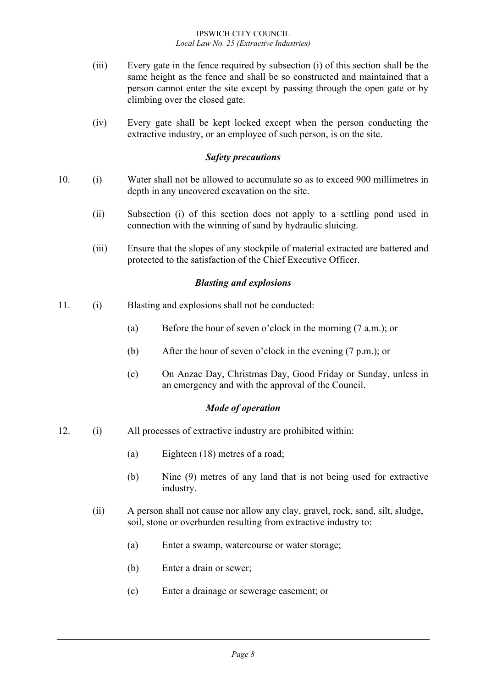- (iii) Every gate in the fence required by subsection (i) of this section shall be the same height as the fence and shall be so constructed and maintained that a person cannot enter the site except by passing through the open gate or by climbing over the closed gate.
- (iv) Every gate shall be kept locked except when the person conducting the extractive industry, or an employee of such person, is on the site.

## *Safety precautions*

- 10. (i) Water shall not be allowed to accumulate so as to exceed 900 millimetres in depth in any uncovered excavation on the site.
	- (ii) Subsection (i) of this section does not apply to a settling pond used in connection with the winning of sand by hydraulic sluicing.
	- (iii) Ensure that the slopes of any stockpile of material extracted are battered and protected to the satisfaction of the Chief Executive Officer.

## *Blasting and explosions*

- 11. (i) Blasting and explosions shall not be conducted:
	- (a) Before the hour of seven o'clock in the morning (7 a.m.); or
	- (b) After the hour of seven o'clock in the evening (7 p.m.); or
	- (c) On Anzac Day, Christmas Day, Good Friday or Sunday, unless in an emergency and with the approval of the Council.

### *Mode of operation*

- 12. (i) All processes of extractive industry are prohibited within:
	- (a) Eighteen (18) metres of a road;
	- (b) Nine (9) metres of any land that is not being used for extractive industry.
	- (ii) A person shall not cause nor allow any clay, gravel, rock, sand, silt, sludge, soil, stone or overburden resulting from extractive industry to:
		- (a) Enter a swamp, watercourse or water storage;
		- (b) Enter a drain or sewer;
		- (c) Enter a drainage or sewerage easement; or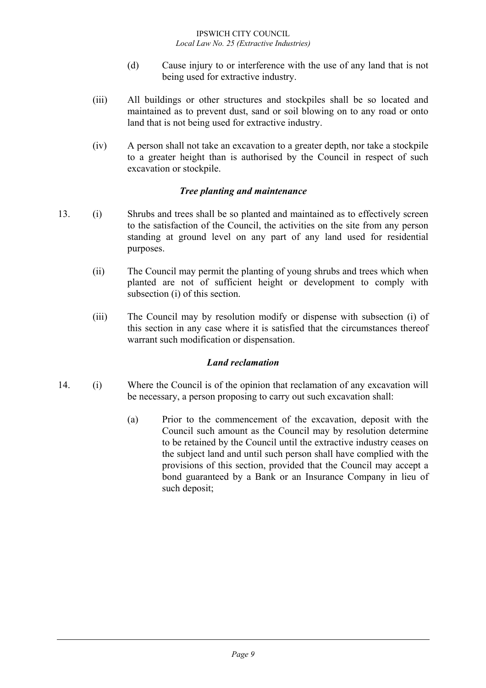- (d) Cause injury to or interference with the use of any land that is not being used for extractive industry.
- (iii) All buildings or other structures and stockpiles shall be so located and maintained as to prevent dust, sand or soil blowing on to any road or onto land that is not being used for extractive industry.
- (iv) A person shall not take an excavation to a greater depth, nor take a stockpile to a greater height than is authorised by the Council in respect of such excavation or stockpile.

## *Tree planting and maintenance*

- 13. (i) Shrubs and trees shall be so planted and maintained as to effectively screen to the satisfaction of the Council, the activities on the site from any person standing at ground level on any part of any land used for residential purposes.
	- (ii) The Council may permit the planting of young shrubs and trees which when planted are not of sufficient height or development to comply with subsection (i) of this section.
	- (iii) The Council may by resolution modify or dispense with subsection (i) of this section in any case where it is satisfied that the circumstances thereof warrant such modification or dispensation.

### *Land reclamation*

- 14. (i) Where the Council is of the opinion that reclamation of any excavation will be necessary, a person proposing to carry out such excavation shall:
	- (a) Prior to the commencement of the excavation, deposit with the Council such amount as the Council may by resolution determine to be retained by the Council until the extractive industry ceases on the subject land and until such person shall have complied with the provisions of this section, provided that the Council may accept a bond guaranteed by a Bank or an Insurance Company in lieu of such deposit;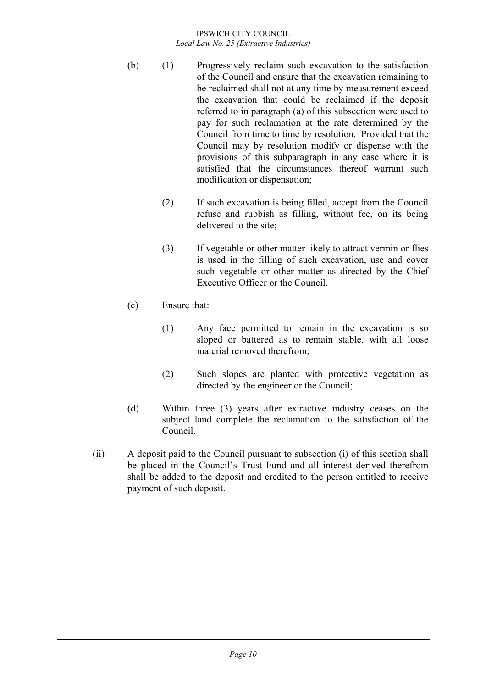- (b) (1) Progressively reclaim such excavation to the satisfaction of the Council and ensure that the excavation remaining to be reclaimed shall not at any time by measurement exceed the excavation that could be reclaimed if the deposit referred to in paragraph (a) of this subsection were used to pay for such reclamation at the rate determined by the Council from time to time by resolution. Provided that the Council may by resolution modify or dispense with the provisions of this subparagraph in any case where it is satisfied that the circumstances thereof warrant such modification or dispensation;
	- (2) If such excavation is being filled, accept from the Council refuse and rubbish as filling, without fee, on its being delivered to the site;
	- (3) If vegetable or other matter likely to attract vermin or flies is used in the filling of such excavation, use and cover such vegetable or other matter as directed by the Chief Executive Officer or the Council.
- (c) Ensure that:
	- (1) Any face permitted to remain in the excavation is so sloped or battered as to remain stable, with all loose material removed therefrom;
	- (2) Such slopes are planted with protective vegetation as directed by the engineer or the Council;
- (d) Within three (3) years after extractive industry ceases on the subject land complete the reclamation to the satisfaction of the Council.
- (ii) A deposit paid to the Council pursuant to subsection (i) of this section shall be placed in the Council's Trust Fund and all interest derived therefrom shall be added to the deposit and credited to the person entitled to receive payment of such deposit.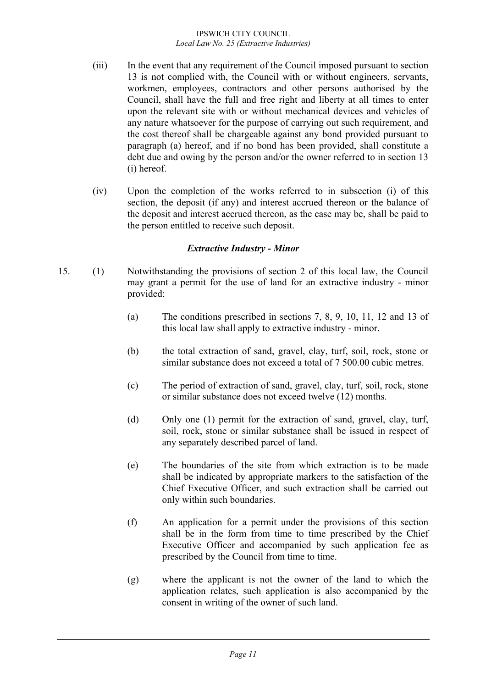- (iii) In the event that any requirement of the Council imposed pursuant to section 13 is not complied with, the Council with or without engineers, servants, workmen, employees, contractors and other persons authorised by the Council, shall have the full and free right and liberty at all times to enter upon the relevant site with or without mechanical devices and vehicles of any nature whatsoever for the purpose of carrying out such requirement, and the cost thereof shall be chargeable against any bond provided pursuant to paragraph (a) hereof, and if no bond has been provided, shall constitute a debt due and owing by the person and/or the owner referred to in section 13 (i) hereof.
- (iv) Upon the completion of the works referred to in subsection (i) of this section, the deposit (if any) and interest accrued thereon or the balance of the deposit and interest accrued thereon, as the case may be, shall be paid to the person entitled to receive such deposit.

## *Extractive Industry - Minor*

- 15. (1) Notwithstanding the provisions of section 2 of this local law, the Council may grant a permit for the use of land for an extractive industry - minor provided:
	- (a) The conditions prescribed in sections 7, 8, 9, 10, 11, 12 and 13 of this local law shall apply to extractive industry - minor.
	- (b) the total extraction of sand, gravel, clay, turf, soil, rock, stone or similar substance does not exceed a total of 7 500.00 cubic metres.
	- (c) The period of extraction of sand, gravel, clay, turf, soil, rock, stone or similar substance does not exceed twelve (12) months.
	- (d) Only one (1) permit for the extraction of sand, gravel, clay, turf, soil, rock, stone or similar substance shall be issued in respect of any separately described parcel of land.
	- (e) The boundaries of the site from which extraction is to be made shall be indicated by appropriate markers to the satisfaction of the Chief Executive Officer, and such extraction shall be carried out only within such boundaries.
	- (f) An application for a permit under the provisions of this section shall be in the form from time to time prescribed by the Chief Executive Officer and accompanied by such application fee as prescribed by the Council from time to time.
	- (g) where the applicant is not the owner of the land to which the application relates, such application is also accompanied by the consent in writing of the owner of such land.